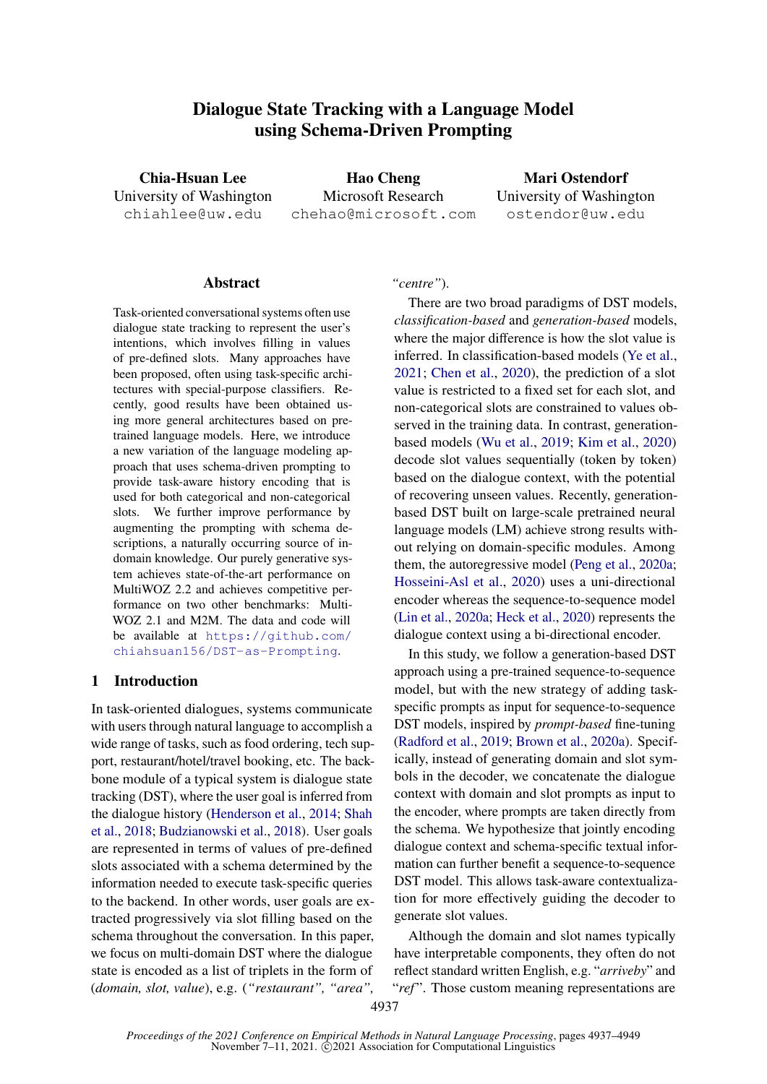# **Dialogue State Tracking with a Language Model using Schema-Driven Prompting**

<span id="page-0-0"></span>**Chia-Hsuan Lee** University of Washington chiahlee@uw.edu

**Hao Cheng** Microsoft Research chehao@microsoft.com

**Mari Ostendorf** University of Washington ostendor@uw.edu

#### **Abstract**

Task-oriented conversational systems often use dialogue state tracking to represent the user's intentions, which involves filling in values of pre-defined slots. Many approaches have been proposed, often using task-specific architectures with special-purpose classifiers. Recently, good results have been obtained using more general architectures based on pretrained language models. Here, we introduce a new variation of the language modeling approach that uses schema-driven prompting to provide task-aware history encoding that is used for both categorical and non-categorical slots. We further improve performance by augmenting the prompting with schema descriptions, a naturally occurring source of indomain knowledge. Our purely generative system achieves state-of-the-art performance on MultiWOZ 2.2 and achieves competitive performance on two other benchmarks: Multi-WOZ 2.1 and M2M. The data and code will be available at [https://github.com/](https://github.com/chiahsuan156/DST-as-Prompting) [chiahsuan156/DST-as-Prompting](https://github.com/chiahsuan156/DST-as-Prompting).

#### **1 Introduction**

In task-oriented dialogues, systems communicate with users through natural language to accomplish a wide range of tasks, such as food ordering, tech support, restaurant/hotel/travel booking, etc. The backbone module of a typical system is dialogue state tracking (DST), where the user goal is inferred from the dialogue history [\(Henderson et al.,](#page-9-0) [2014;](#page-9-0) [Shah](#page-9-1) [et al.,](#page-9-1) [2018;](#page-9-1) [Budzianowski et al.,](#page-8-0) [2018\)](#page-8-0). User goals are represented in terms of values of pre-defined slots associated with a schema determined by the information needed to execute task-specific queries to the backend. In other words, user goals are extracted progressively via slot filling based on the schema throughout the conversation. In this paper, we focus on multi-domain DST where the dialogue state is encoded as a list of triplets in the form of (*domain, slot, value*), e.g. (*"restaurant", "area",*

#### *"centre"*).

There are two broad paradigms of DST models, *classification-based* and *generation-based* models, where the major difference is how the slot value is inferred. In classification-based models [\(Ye et al.,](#page-10-0) [2021;](#page-10-0) [Chen et al.,](#page-8-1) [2020\)](#page-8-1), the prediction of a slot value is restricted to a fixed set for each slot, and non-categorical slots are constrained to values observed in the training data. In contrast, generationbased models [\(Wu et al.,](#page-10-1) [2019;](#page-10-1) [Kim et al.,](#page-9-2) [2020\)](#page-9-2) decode slot values sequentially (token by token) based on the dialogue context, with the potential of recovering unseen values. Recently, generationbased DST built on large-scale pretrained neural language models (LM) achieve strong results without relying on domain-specific modules. Among them, the autoregressive model [\(Peng et al.,](#page-9-3) [2020a;](#page-9-3) [Hosseini-Asl et al.,](#page-9-4) [2020\)](#page-9-4) uses a uni-directional encoder whereas the sequence-to-sequence model [\(Lin et al.,](#page-9-5) [2020a;](#page-9-5) [Heck et al.,](#page-8-2) [2020\)](#page-8-2) represents the dialogue context using a bi-directional encoder.

In this study, we follow a generation-based DST approach using a pre-trained sequence-to-sequence model, but with the new strategy of adding taskspecific prompts as input for sequence-to-sequence DST models, inspired by *prompt-based* fine-tuning [\(Radford et al.,](#page-9-6) [2019;](#page-9-6) [Brown et al.,](#page-8-3) [2020a\)](#page-8-3). Specifically, instead of generating domain and slot symbols in the decoder, we concatenate the dialogue context with domain and slot prompts as input to the encoder, where prompts are taken directly from the schema. We hypothesize that jointly encoding dialogue context and schema-specific textual information can further benefit a sequence-to-sequence DST model. This allows task-aware contextualization for more effectively guiding the decoder to generate slot values.

Although the domain and slot names typically have interpretable components, they often do not reflect standard written English, e.g. "*arriveby*" and "*ref*". Those custom meaning representations are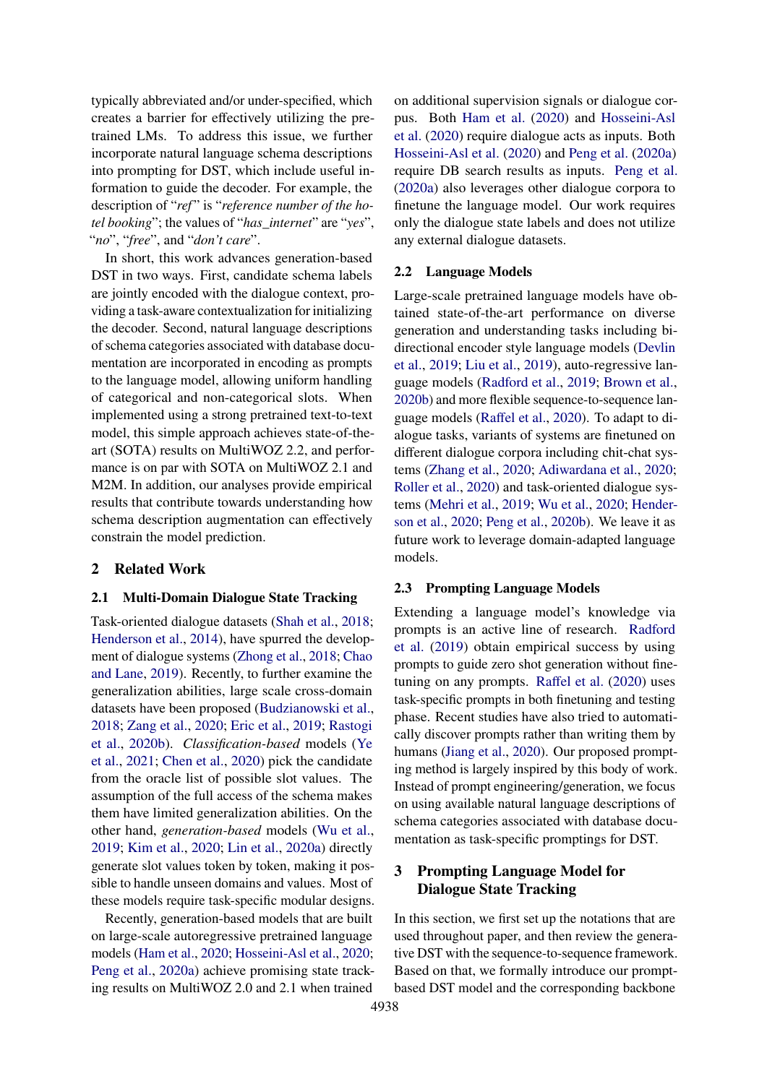typically abbreviated and/or under-specified, which creates a barrier for effectively utilizing the pretrained LMs. To address this issue, we further incorporate natural language schema descriptions into prompting for DST, which include useful information to guide the decoder. For example, the description of "ref" is "reference number of the ho*tel booking*"; the values of "*has\_internet*" are "*yes*", "*no*", "*free*", and "*don't care*".

In short, this work advances generation-based DST in two ways. First, candidate schema labels are jointly encoded with the dialogue context, providing a task-aware contextualization for initializing the decoder. Second, natural language descriptions of schema categories associated with database documentation are incorporated in encoding as prompts to the language model, allowing uniform handling of categorical and non-categorical slots. When implemented using a strong pretrained text-to-text model, this simple approach achieves state-of-theart (SOTA) results on MultiWOZ 2.2, and performance is on par with SOTA on MultiWOZ 2.1 and M2M. In addition, our analyses provide empirical results that contribute towards understanding how schema description augmentation can effectively constrain the model prediction.

## **2 Related Work**

#### **2.1 Multi-Domain Dialogue State Tracking**

Task-oriented dialogue datasets [\(Shah et al.,](#page-9-1) [2018;](#page-9-1) [Henderson et al.,](#page-9-0) [2014\)](#page-9-0), have spurred the development of dialogue systems [\(Zhong et al.,](#page-10-2) [2018;](#page-10-2) [Chao](#page-8-4) [and Lane,](#page-8-4) [2019\)](#page-8-4). Recently, to further examine the generalization abilities, large scale cross-domain datasets have been proposed [\(Budzianowski et al.,](#page-8-0) [2018;](#page-8-0) [Zang et al.,](#page-10-3) [2020;](#page-10-3) [Eric et al.,](#page-8-5) [2019;](#page-8-5) [Rastogi](#page-9-7) [et al.,](#page-9-7) [2020b\)](#page-9-7). *Classification-based* models [\(Ye](#page-10-0) [et al.,](#page-10-0) [2021;](#page-10-0) [Chen et al.,](#page-8-1) [2020\)](#page-8-1) pick the candidate from the oracle list of possible slot values. The assumption of the full access of the schema makes them have limited generalization abilities. On the other hand, *generation-based* models [\(Wu et al.,](#page-10-1) [2019;](#page-10-1) [Kim et al.,](#page-9-2) [2020;](#page-9-2) [Lin et al.,](#page-9-5) [2020a\)](#page-9-5) directly generate slot values token by token, making it possible to handle unseen domains and values. Most of these models require task-specific modular designs.

Recently, generation-based models that are built on large-scale autoregressive pretrained language models [\(Ham et al.,](#page-8-6) [2020;](#page-8-6) [Hosseini-Asl et al.,](#page-9-4) [2020;](#page-9-4) [Peng et al.,](#page-9-3) [2020a\)](#page-9-3) achieve promising state tracking results on MultiWOZ 2.0 and 2.1 when trained on additional supervision signals or dialogue corpus. Both [Ham et al.](#page-8-6) [\(2020\)](#page-8-6) and [Hosseini-Asl](#page-9-4) [et al.](#page-9-4) [\(2020\)](#page-9-4) require dialogue acts as inputs. Both [Hosseini-Asl et al.](#page-9-4) [\(2020\)](#page-9-4) and [Peng et al.](#page-9-3) [\(2020a\)](#page-9-3) require DB search results as inputs. [Peng et al.](#page-9-3) [\(2020a\)](#page-9-3) also leverages other dialogue corpora to finetune the language model. Our work requires only the dialogue state labels and does not utilize any external dialogue datasets.

#### **2.2 Language Models**

Large-scale pretrained language models have obtained state-of-the-art performance on diverse generation and understanding tasks including bidirectional encoder style language models [\(Devlin](#page-8-7) [et al.,](#page-8-7) [2019;](#page-8-7) [Liu et al.,](#page-9-8) [2019\)](#page-9-8), auto-regressive language models [\(Radford et al.,](#page-9-6) [2019;](#page-9-6) [Brown et al.,](#page-8-8) [2020b\)](#page-8-8) and more flexible sequence-to-sequence language models [\(Raffel et al.,](#page-9-9) [2020\)](#page-9-9). To adapt to dialogue tasks, variants of systems are finetuned on different dialogue corpora including chit-chat systems [\(Zhang et al.,](#page-10-4) [2020;](#page-10-4) [Adiwardana et al.,](#page-8-9) [2020;](#page-8-9) [Roller et al.,](#page-9-10) [2020\)](#page-9-10) and task-oriented dialogue systems [\(Mehri et al.,](#page-9-11) [2019;](#page-9-11) [Wu et al.,](#page-10-5) [2020;](#page-10-5) [Hender](#page-9-12)[son et al.,](#page-9-12) [2020;](#page-9-12) [Peng et al.,](#page-9-13) [2020b\)](#page-9-13). We leave it as future work to leverage domain-adapted language models.

#### **2.3 Prompting Language Models**

Extending a language model's knowledge via prompts is an active line of research. [Radford](#page-9-6) [et al.](#page-9-6) [\(2019\)](#page-9-6) obtain empirical success by using prompts to guide zero shot generation without finetuning on any prompts. [Raffel et al.](#page-9-9) [\(2020\)](#page-9-9) uses task-specific prompts in both finetuning and testing phase. Recent studies have also tried to automatically discover prompts rather than writing them by humans [\(Jiang et al.,](#page-9-14) [2020\)](#page-9-14). Our proposed prompting method is largely inspired by this body of work. Instead of prompt engineering/generation, we focus on using available natural language descriptions of schema categories associated with database documentation as task-specific promptings for DST.

## **3 Prompting Language Model for Dialogue State Tracking**

In this section, we first set up the notations that are used throughout paper, and then review the generative DST with the sequence-to-sequence framework. Based on that, we formally introduce our promptbased DST model and the corresponding backbone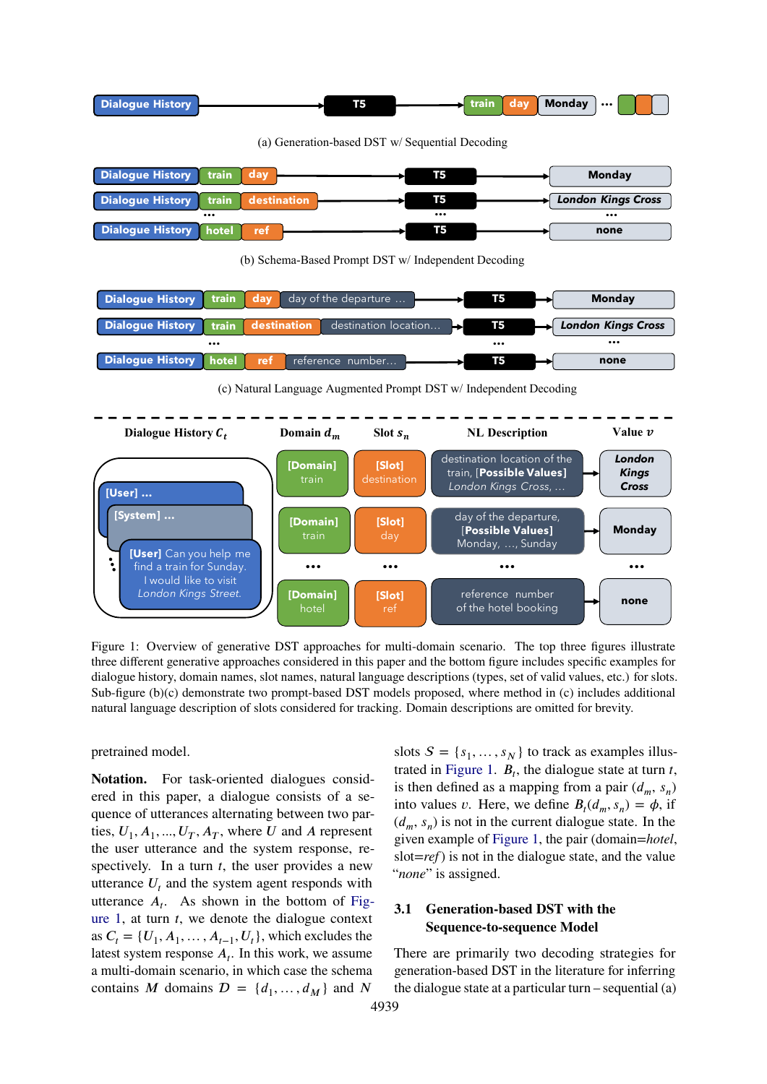<span id="page-2-0"></span>

| <b>Dialogue History</b> | 15 |  | $\rightarrow$ train   day   Monday |  |  |
|-------------------------|----|--|------------------------------------|--|--|
|                         |    |  |                                    |  |  |

(a) Generation-based DST w/ Sequential Decoding



(b) Schema-Based Prompt DST w/ Independent Decoding



(c) Natural Language Augmented Prompt DST w/ Independent Decoding



Figure 1: Overview of generative DST approaches for multi-domain scenario. The top three figures illustrate three different generative approaches considered in this paper and the bottom figure includes specific examples for dialogue history, domain names, slot names, natural language descriptions (types, set of valid values, etc.) for slots. Sub-figure (b)(c) demonstrate two prompt-based DST models proposed, where method in (c) includes additional natural language description of slots considered for tracking. Domain descriptions are omitted for brevity.

pretrained model.

**Notation.** For task-oriented dialogues considered in this paper, a dialogue consists of a sequence of utterances alternating between two parties,  $U_1, A_1, ..., U_T, A_T$ , where *U* and *A* represent the user utterance and the system response, respectively. In a turn *t*, the user provides a new utterance  $U_t$  and the system agent responds with utterance  $A_t$ . As shown in the bottom of [Fig](#page-2-0)[ure 1,](#page-2-0) at turn *t*, we denote the dialogue context as  $C_t = \{U_1, A_1, \ldots, A_{t-1}, U_t\}$ , which excludes the latest system response  $A_t$ . In this work, we assume a multi-domain scenario, in which case the schema contains *M* domains  $D = \{d_1, \ldots, d_M\}$  and *N* 

slots  $S = \{s_1, \ldots, s_N\}$  to track as examples illus-trated in [Figure 1.](#page-2-0)  $B_t$ , the dialogue state at turn *t*, is then defined as a mapping from a pair  $(d_m, s_n)$ into values *v*. Here, we define  $B_t(d_m, s_n) = \phi$ , if  $(d_m, s_n)$  is not in the current dialogue state. In the given example of [Figure 1,](#page-2-0) the pair (domain=*hotel*, slot=*ref*) is not in the dialogue state, and the value "*none*" is assigned.

## **3.1 Generation-based DST with the Sequence-to-sequence Model**

There are primarily two decoding strategies for generation-based DST in the literature for inferring the dialogue state at a particular turn – sequential  $(a)$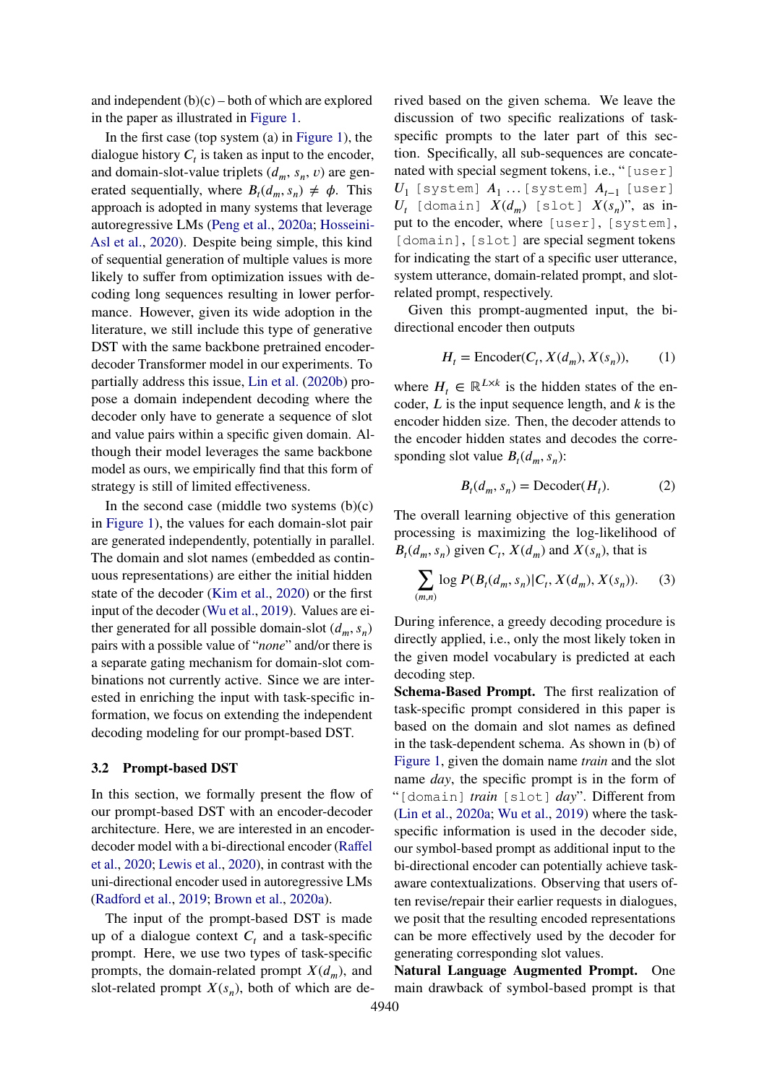and independent  $(b)(c)$  – both of which are explored in the paper as illustrated in [Figure 1.](#page-2-0)

In the first case (top system (a) in [Figure 1\)](#page-2-0), the dialogue history  $C_t$  is taken as input to the encoder, and domain-slot-value triplets  $(d_m, s_n, v)$  are generated sequentially, where  $B_t(d_m, s_n) \neq \phi$ . This approach is adopted in many systems that leverage autoregressive LMs [\(Peng et al.,](#page-9-3) [2020a;](#page-9-3) [Hosseini-](#page-9-4)[Asl et al.,](#page-9-4) [2020\)](#page-9-4). Despite being simple, this kind of sequential generation of multiple values is more likely to suffer from optimization issues with decoding long sequences resulting in lower performance. However, given its wide adoption in the literature, we still include this type of generative DST with the same backbone pretrained encoderdecoder Transformer model in our experiments. To partially address this issue, [Lin et al.](#page-9-15) [\(2020b\)](#page-9-15) propose a domain independent decoding where the decoder only have to generate a sequence of slot and value pairs within a specific given domain. Although their model leverages the same backbone model as ours, we empirically find that this form of strategy is still of limited effectiveness.

In the second case (middle two systems  $(b)(c)$ in [Figure 1\)](#page-2-0), the values for each domain-slot pair are generated independently, potentially in parallel. The domain and slot names (embedded as continuous representations) are either the initial hidden state of the decoder [\(Kim et al.,](#page-9-2) [2020\)](#page-9-2) or the first input of the decoder [\(Wu et al.,](#page-10-1) [2019\)](#page-10-1). Values are either generated for all possible domain-slot  $(d_m, s_n)$ pairs with a possible value of "*none*" and/or there is a separate gating mechanism for domain-slot combinations not currently active. Since we are interested in enriching the input with task-specific information, we focus on extending the independent decoding modeling for our prompt-based DST.

#### **3.2 Prompt-based DST**

In this section, we formally present the flow of our prompt-based DST with an encoder-decoder architecture. Here, we are interested in an encoderdecoder model with a bi-directional encoder [\(Raffel](#page-9-9) [et al.,](#page-9-9) [2020;](#page-9-9) [Lewis et al.,](#page-9-16) [2020\)](#page-9-16), in contrast with the uni-directional encoder used in autoregressive LMs [\(Radford et al.,](#page-9-6) [2019;](#page-9-6) [Brown et al.,](#page-8-3) [2020a\)](#page-8-3).

The input of the prompt-based DST is made up of a dialogue context  $C_t$  and a task-specific prompt. Here, we use two types of task-specific prompts, the domain-related prompt  $X(d_m)$ , and slot-related prompt  $X(s_n)$ , both of which are derived based on the given schema. We leave the discussion of two specific realizations of taskspecific prompts to the later part of this section. Specifically, all sub-sequences are concatenated with special segment tokens, i.e., "[user]  $U_1$  [system]  $A_1$  ...[system]  $A_{t-1}$  [user]  $U_t$  [domain]  $X(d_m)$  [slot]  $X(s_n)$ ", as input to the encoder, where [user], [system], [domain], [slot] are special segment tokens for indicating the start of a specific user utterance, system utterance, domain-related prompt, and slotrelated prompt, respectively.

Given this prompt-augmented input, the bidirectional encoder then outputs

$$
H_t = \text{Encoder}(C_t, X(d_m), X(s_n)), \tag{1}
$$

where  $H_t \in \mathbb{R}^{L \times k}$  is the hidden states of the encoder,  $L$  is the input sequence length, and  $k$  is the encoder hidden size. Then, the decoder attends to the encoder hidden states and decodes the corresponding slot value  $B_t(d_m, s_n)$ :

$$
B_t(d_m, s_n) = \text{Decoder}(H_t). \tag{2}
$$

The overall learning objective of this generation processing is maximizing the log-likelihood of  $B_t(d_m, s_n)$  given  $C_t$ ,  $X(d_m)$  and  $X(s_n)$ , that is

$$
\sum_{(m,n)} \log P(B_t(d_m, s_n) | C_t, X(d_m), X(s_n)).
$$
 (3)

During inference, a greedy decoding procedure is directly applied, i.e., only the most likely token in the given model vocabulary is predicted at each decoding step.

**Schema-Based Prompt.** The first realization of task-specific prompt considered in this paper is based on the domain and slot names as defined in the task-dependent schema. As shown in (b) of [Figure 1,](#page-2-0) given the domain name *train* and the slot name *day*, the specific prompt is in the form of "[domain] *train* [slot] *day*". Different from [\(Lin et al.,](#page-9-5) [2020a;](#page-9-5) [Wu et al.,](#page-10-1) [2019\)](#page-10-1) where the taskspecific information is used in the decoder side, our symbol-based prompt as additional input to the bi-directional encoder can potentially achieve taskaware contextualizations. Observing that users often revise/repair their earlier requests in dialogues, we posit that the resulting encoded representations can be more effectively used by the decoder for generating corresponding slot values.

**Natural Language Augmented Prompt.** One main drawback of symbol-based prompt is that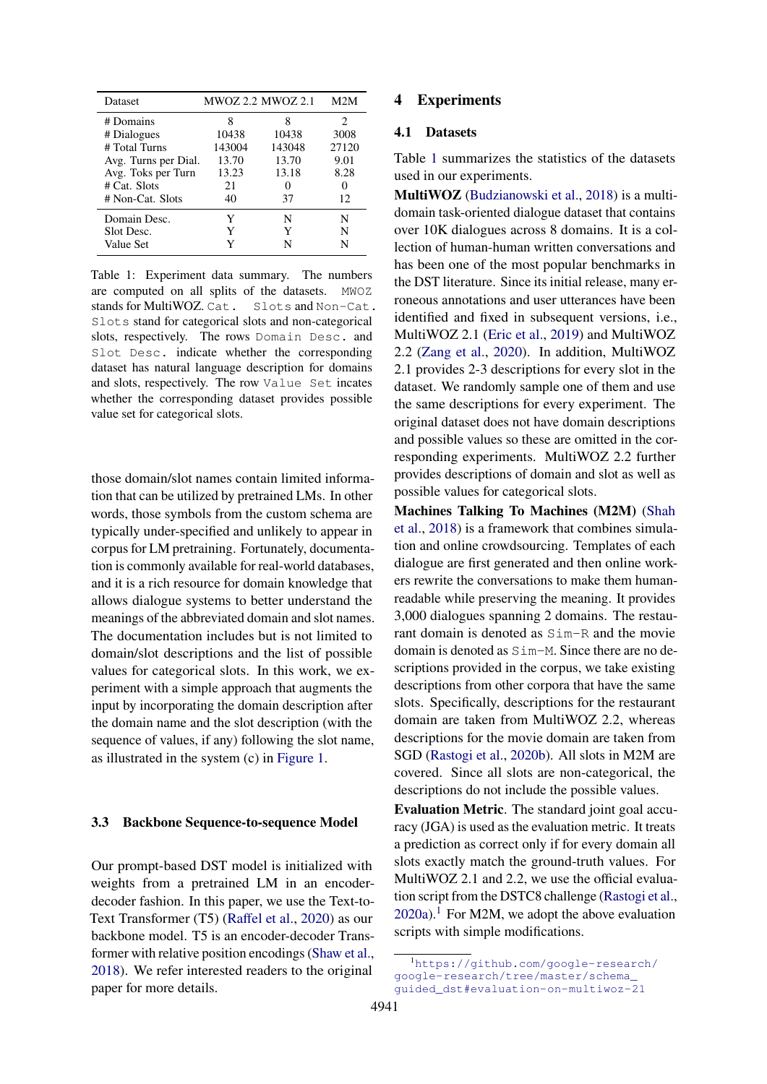<span id="page-4-0"></span>

| Dataset              | <b>MWOZ 2.2 MWOZ 2.1</b> |        | M2M   |
|----------------------|--------------------------|--------|-------|
| # Domains            | 8                        |        | 2     |
| # Dialogues          | 10438                    | 10438  | 3008  |
| # Total Turns        | 143004                   | 143048 | 27120 |
| Avg. Turns per Dial. | 13.70                    | 13.70  | 9.01  |
| Avg. Toks per Turn   | 13.23                    | 13.18  | 8.28  |
| $#$ Cat. Slots       | 21                       |        |       |
| # Non-Cat. Slots     | 40                       | 37     | 12.   |
| Domain Desc.         | Y                        | N      | N     |
| Slot Desc.           | Y                        | Y      | N     |
| Value Set            |                          | N      | N     |

Table 1: Experiment data summary. The numbers are computed on all splits of the datasets. MWOZ stands for MultiWOZ. Cat. Slots and Non-Cat. Slots stand for categorical slots and non-categorical slots, respectively. The rows Domain Desc. and Slot Desc. indicate whether the corresponding dataset has natural language description for domains and slots, respectively. The row Value Set incates whether the corresponding dataset provides possible value set for categorical slots.

those domain/slot names contain limited information that can be utilized by pretrained LMs. In other words, those symbols from the custom schema are typically under-specified and unlikely to appear in corpus for LM pretraining. Fortunately, documentation is commonly available for real-world databases, and it is a rich resource for domain knowledge that allows dialogue systems to better understand the meanings of the abbreviated domain and slot names. The documentation includes but is not limited to domain/slot descriptions and the list of possible values for categorical slots. In this work, we experiment with a simple approach that augments the input by incorporating the domain description after the domain name and the slot description (with the sequence of values, if any) following the slot name, as illustrated in the system (c) in [Figure 1.](#page-2-0)

#### **3.3 Backbone Sequence-to-sequence Model**

Our prompt-based DST model is initialized with weights from a pretrained LM in an encoderdecoder fashion. In this paper, we use the Text-to-Text Transformer (T5) [\(Raffel et al.,](#page-9-9) [2020\)](#page-9-9) as our backbone model. T5 is an encoder-decoder Transformer with relative position encodings [\(Shaw et al.,](#page-10-6) [2018\)](#page-10-6). We refer interested readers to the original paper for more details.

## **4 Experiments**

#### **4.1 Datasets**

Table [1](#page-4-0) summarizes the statistics of the datasets used in our experiments.

**MultiWOZ** [\(Budzianowski et al.,](#page-8-0) [2018\)](#page-8-0) is a multidomain task-oriented dialogue dataset that contains over 10K dialogues across 8 domains. It is a collection of human-human written conversations and has been one of the most popular benchmarks in the DST literature. Since its initial release, many erroneous annotations and user utterances have been identified and fixed in subsequent versions, i.e., MultiWOZ 2.1 [\(Eric et al.,](#page-8-5) [2019\)](#page-8-5) and MultiWOZ 2.2 [\(Zang et al.,](#page-10-3) [2020\)](#page-10-3). In addition, MultiWOZ 2.1 provides 2-3 descriptions for every slot in the dataset. We randomly sample one of them and use the same descriptions for every experiment. The original dataset does not have domain descriptions and possible values so these are omitted in the corresponding experiments. MultiWOZ 2.2 further provides descriptions of domain and slot as well as possible values for categorical slots.

**Machines Talking To Machines (M2M)** [\(Shah](#page-9-1) [et al.,](#page-9-1) [2018\)](#page-9-1) is a framework that combines simulation and online crowdsourcing. Templates of each dialogue are first generated and then online workers rewrite the conversations to make them humanreadable while preserving the meaning. It provides 3,000 dialogues spanning 2 domains. The restaurant domain is denoted as Sim-R and the movie domain is denoted as Sim-M. Since there are no descriptions provided in the corpus, we take existing descriptions from other corpora that have the same slots. Specifically, descriptions for the restaurant domain are taken from MultiWOZ 2.2, whereas descriptions for the movie domain are taken from SGD [\(Rastogi et al.,](#page-9-7) [2020b\)](#page-9-7). All slots in M2M are covered. Since all slots are non-categorical, the descriptions do not include the possible values.

**Evaluation Metric**. The standard joint goal accuracy (JGA) is used as the evaluation metric. It treats a prediction as correct only if for every domain all slots exactly match the ground-truth values. For MultiWOZ 2.1 and 2.2, we use the official evaluation script from the DSTC8 challenge [\(Rastogi et al.,](#page-9-17)  $2020a$ .<sup>[1](#page-4-1)</sup> For M2M, we adopt the above evaluation scripts with simple modifications.

<span id="page-4-1"></span><sup>1</sup>[https://github.com/google-research/](https://github.com/google-research/google-research/tree/master/schema_guided_dst#evaluation-on-multiwoz-21) [google-research/tree/master/schema\\_](https://github.com/google-research/google-research/tree/master/schema_guided_dst#evaluation-on-multiwoz-21) [guided\\_dst#evaluation-on-multiwoz-21](https://github.com/google-research/google-research/tree/master/schema_guided_dst#evaluation-on-multiwoz-21)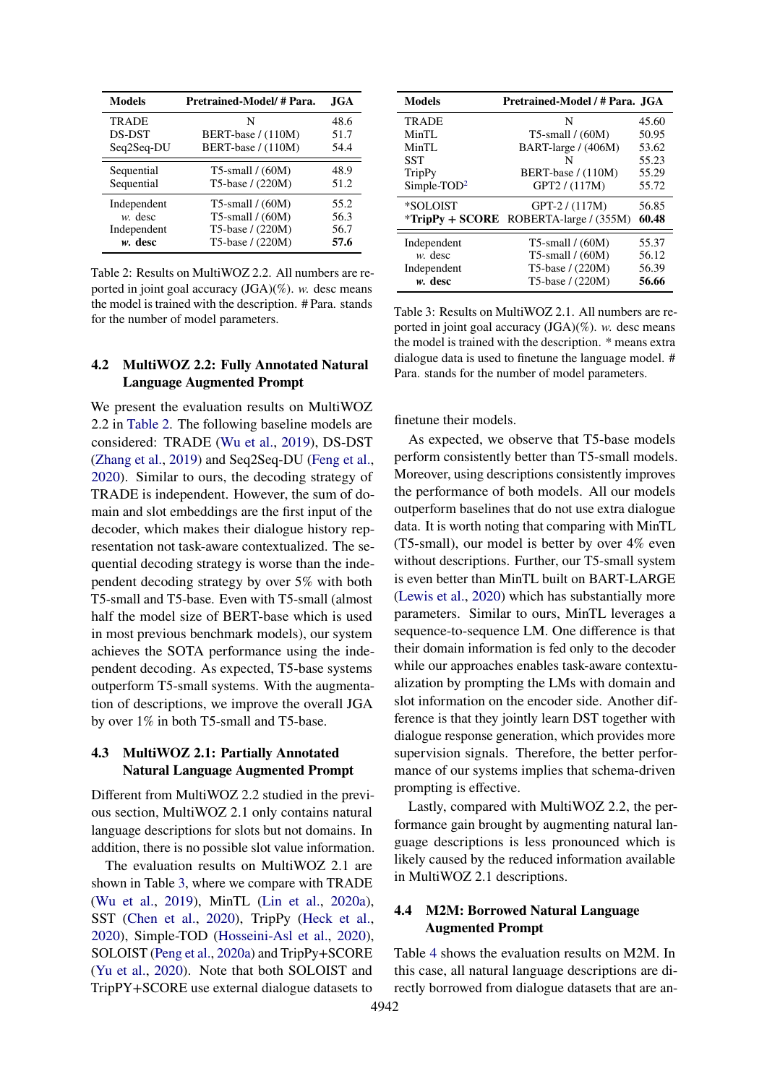<span id="page-5-0"></span>

| <b>Models</b> | Pretrained-Model/#Para. | JGA. |
|---------------|-------------------------|------|
| <b>TRADE</b>  | N                       | 48.6 |
| <b>DS-DST</b> | BERT-base / (110M)      | 51.7 |
| Seq2Seq-DU    | BERT-base / (110M)      | 54.4 |
| Sequential    | $T5$ -small / $(60M)$   | 48.9 |
| Sequential    | T5-base / (220M)        | 51.2 |
| Independent   | $T5$ -small / $(60M)$   | 55.2 |
| $w$ . desc    | T5-small $/(60M)$       | 56.3 |
| Independent   | T5-base / (220M)        | 56.7 |
| $w$ . desc    | T5-base / (220M)        | 57.6 |

Table 2: Results on MultiWOZ 2.2. All numbers are reported in joint goal accuracy (JGA)(%). *w.* desc means the model is trained with the description. # Para. stands for the number of model parameters.

## **4.2 MultiWOZ 2.2: Fully Annotated Natural Language Augmented Prompt**

We present the evaluation results on MultiWOZ 2.2 in [Table 2.](#page-5-0) The following baseline models are considered: TRADE [\(Wu et al.,](#page-10-1) [2019\)](#page-10-1), DS-DST [\(Zhang et al.,](#page-10-7) [2019\)](#page-10-7) and Seq2Seq-DU [\(Feng et al.,](#page-8-10) [2020\)](#page-8-10). Similar to ours, the decoding strategy of TRADE is independent. However, the sum of domain and slot embeddings are the first input of the decoder, which makes their dialogue history representation not task-aware contextualized. The sequential decoding strategy is worse than the independent decoding strategy by over 5% with both T5-small and T5-base. Even with T5-small (almost half the model size of BERT-base which is used in most previous benchmark models), our system achieves the SOTA performance using the independent decoding. As expected, T5-base systems outperform T5-small systems. With the augmentation of descriptions, we improve the overall JGA by over 1% in both T5-small and T5-base.

## **4.3 MultiWOZ 2.1: Partially Annotated Natural Language Augmented Prompt**

Different from MultiWOZ 2.2 studied in the previous section, MultiWOZ 2.1 only contains natural language descriptions for slots but not domains. In addition, there is no possible slot value information.

The evaluation results on MultiWOZ 2.1 are shown in Table [3,](#page-5-1) where we compare with TRADE [\(Wu et al.,](#page-10-1) [2019\)](#page-10-1), MinTL [\(Lin et al.,](#page-9-5) [2020a\)](#page-9-5), SST [\(Chen et al.,](#page-8-1) [2020\)](#page-8-1), TripPy [\(Heck et al.,](#page-8-2) [2020\)](#page-8-2), Simple-TOD [\(Hosseini-Asl et al.,](#page-9-4) [2020\)](#page-9-4), SOLOIST [\(Peng et al.,](#page-9-3) [2020a\)](#page-9-3) and TripPy+SCORE [\(Yu et al.,](#page-10-8) [2020\)](#page-10-8). Note that both SOLOIST and TripPY+SCORE use external dialogue datasets to

<span id="page-5-1"></span>

| <b>Models</b>           | Pretrained-Model / # Para. JGA                  |       |
|-------------------------|-------------------------------------------------|-------|
| <b>TRADE</b>            | N                                               | 45.60 |
| MinTL                   | T5-small $/(60M)$                               | 50.95 |
| MinTL                   | BART-large / (406M)                             | 53.62 |
| <b>SST</b>              | N                                               | 55.23 |
| <b>TripPy</b>           | BERT-base $/(110M)$                             | 55.29 |
| Simple-TOD <sup>2</sup> | GPT2/(117M)                                     | 55.72 |
| *SOLOIST                | $GPT-2/(117M)$                                  | 56.85 |
|                         | <i>*TripPy</i> + SCORE ROBERTA-large / $(355M)$ | 60.48 |
| Independent             | $T5$ -small / $(60M)$                           | 55.37 |
| $w$ . desc              | T5-small $/(60M)$                               | 56.12 |
| Independent             | T5-base / (220M)                                | 56.39 |
| w. desc                 | T5-base / (220M)                                | 56.66 |

Table 3: Results on MultiWOZ 2.1. All numbers are reported in joint goal accuracy (JGA)(%). *w.* desc means the model is trained with the description. \* means extra dialogue data is used to finetune the language model. # Para. stands for the number of model parameters.

finetune their models.

As expected, we observe that T5-base models perform consistently better than T5-small models. Moreover, using descriptions consistently improves the performance of both models. All our models outperform baselines that do not use extra dialogue data. It is worth noting that comparing with MinTL (T5-small), our model is better by over 4% even without descriptions. Further, our T5-small system is even better than MinTL built on BART-LARGE [\(Lewis et al.,](#page-9-16) [2020\)](#page-9-16) which has substantially more parameters. Similar to ours, MinTL leverages a sequence-to-sequence LM. One difference is that their domain information is fed only to the decoder while our approaches enables task-aware contextualization by prompting the LMs with domain and slot information on the encoder side. Another difference is that they jointly learn DST together with dialogue response generation, which provides more supervision signals. Therefore, the better performance of our systems implies that schema-driven prompting is effective.

Lastly, compared with MultiWOZ 2.2, the performance gain brought by augmenting natural language descriptions is less pronounced which is likely caused by the reduced information available in MultiWOZ 2.1 descriptions.

## **4.4 M2M: Borrowed Natural Language Augmented Prompt**

Table [4](#page-6-0) shows the evaluation results on M2M. In this case, all natural language descriptions are directly borrowed from dialogue datasets that are an-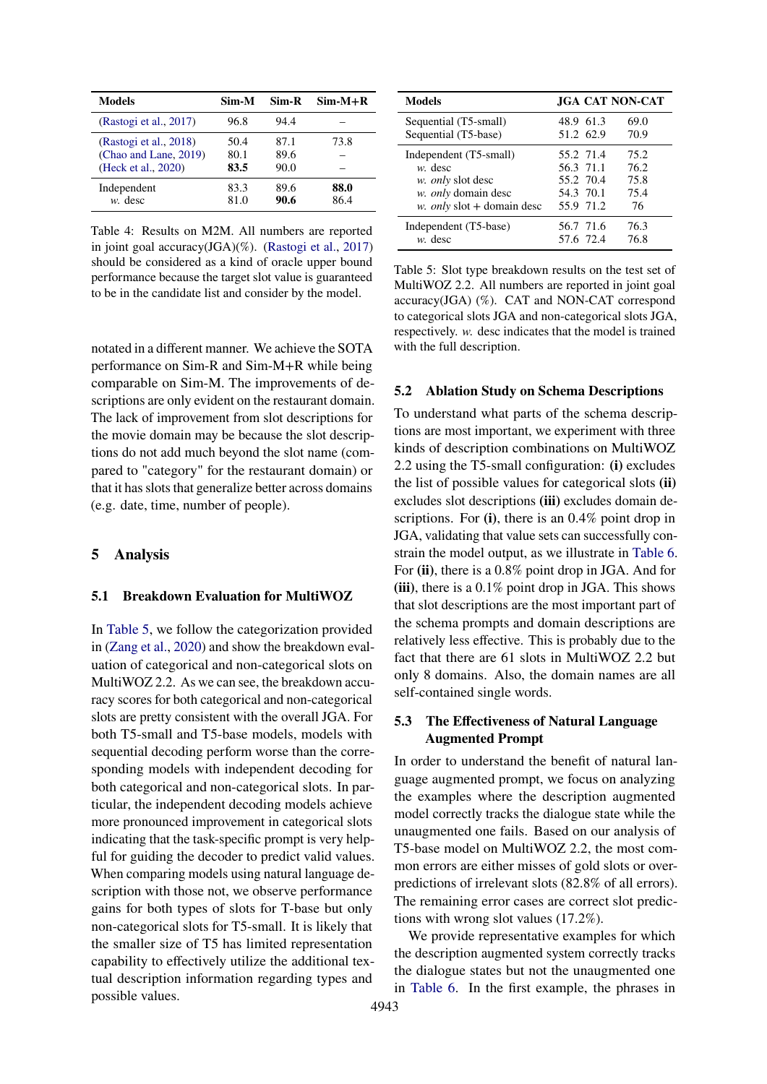<span id="page-6-0"></span>

| <b>Models</b>          | Sim-M | Sim-R | $Sim-M+R$ |
|------------------------|-------|-------|-----------|
| (Rastogi et al., 2017) | 96.8  | 94.4  |           |
| (Rastogi et al., 2018) | 50.4  | 87.1  | 73.8      |
| (Chao and Lane, 2019)  | 80.1  | 89.6  |           |
| (Heck et al., 2020)    | 83.5  | 90.0  |           |
| Independent            | 83.3  | 89.6  | 88.0      |
| $w$ . desc             | 81.0  | 90.6  | 86.4      |

Table 4: Results on M2M. All numbers are reported in joint goal accuracy(JGA)(%). [\(Rastogi et al.,](#page-9-18) [2017\)](#page-9-18) should be considered as a kind of oracle upper bound performance because the target slot value is guaranteed to be in the candidate list and consider by the model.

notated in a different manner. We achieve the SOTA performance on Sim-R and Sim-M+R while being comparable on Sim-M. The improvements of descriptions are only evident on the restaurant domain. The lack of improvement from slot descriptions for the movie domain may be because the slot descriptions do not add much beyond the slot name (compared to "category" for the restaurant domain) or that it has slots that generalize better across domains (e.g. date, time, number of people).

#### **5 Analysis**

#### **5.1 Breakdown Evaluation for MultiWOZ**

In [Table 5,](#page-6-1) we follow the categorization provided in [\(Zang et al.,](#page-10-3) [2020\)](#page-10-3) and show the breakdown evaluation of categorical and non-categorical slots on MultiWOZ 2.2. As we can see, the breakdown accuracy scores for both categorical and non-categorical slots are pretty consistent with the overall JGA. For both T5-small and T5-base models, models with sequential decoding perform worse than the corresponding models with independent decoding for both categorical and non-categorical slots. In particular, the independent decoding models achieve more pronounced improvement in categorical slots indicating that the task-specific prompt is very helpful for guiding the decoder to predict valid values. When comparing models using natural language description with those not, we observe performance gains for both types of slots for T-base but only non-categorical slots for T5-small. It is likely that the smaller size of T5 has limited representation capability to effectively utilize the additional textual description information regarding types and possible values.

<span id="page-6-1"></span>

| <b>Models</b>              | <b>JGA CAT NON-CAT</b> |      |
|----------------------------|------------------------|------|
| Sequential (T5-small)      | 48.9 61.3              | 69.0 |
| Sequential (T5-base)       | 51.2 62.9              | 70.9 |
| Independent (T5-small)     | 55.2 71.4              | 75.2 |
| $w$ , desc                 | 56.3 71.1              | 76.2 |
| w. only slot desc          | 55.2 70.4              | 75.8 |
| w. only domain desc        | 54.3 70.1              | 75.4 |
| w. only slot + domain desc | 55.9 71.2              | 76   |
| Independent (T5-base)      | 56.7 71.6              | 76.3 |
| $w$ . desc                 | 57.6 72.4              | 76.8 |

Table 5: Slot type breakdown results on the test set of MultiWOZ 2.2. All numbers are reported in joint goal accuracy(JGA) (%). CAT and NON-CAT correspond to categorical slots JGA and non-categorical slots JGA, respectively. *w.* desc indicates that the model is trained with the full description.

#### **5.2 Ablation Study on Schema Descriptions**

To understand what parts of the schema descriptions are most important, we experiment with three kinds of description combinations on MultiWOZ 2.2 using the T5-small configuration: **(i)** excludes the list of possible values for categorical slots **(ii)** excludes slot descriptions **(iii)** excludes domain descriptions. For **(i)**, there is an 0.4% point drop in JGA, validating that value sets can successfully constrain the model output, as we illustrate in [Table 6.](#page-7-0) For **(ii)**, there is a 0.8% point drop in JGA. And for **(iii)**, there is a 0.1% point drop in JGA. This shows that slot descriptions are the most important part of the schema prompts and domain descriptions are relatively less effective. This is probably due to the fact that there are 61 slots in MultiWOZ 2.2 but only 8 domains. Also, the domain names are all self-contained single words.

#### **5.3 The Effectiveness of Natural Language Augmented Prompt**

In order to understand the benefit of natural language augmented prompt, we focus on analyzing the examples where the description augmented model correctly tracks the dialogue state while the unaugmented one fails. Based on our analysis of T5-base model on MultiWOZ 2.2, the most common errors are either misses of gold slots or overpredictions of irrelevant slots (82.8% of all errors). The remaining error cases are correct slot predictions with wrong slot values (17.2%).

We provide representative examples for which the description augmented system correctly tracks the dialogue states but not the unaugmented one in [Table 6.](#page-7-0) In the first example, the phrases in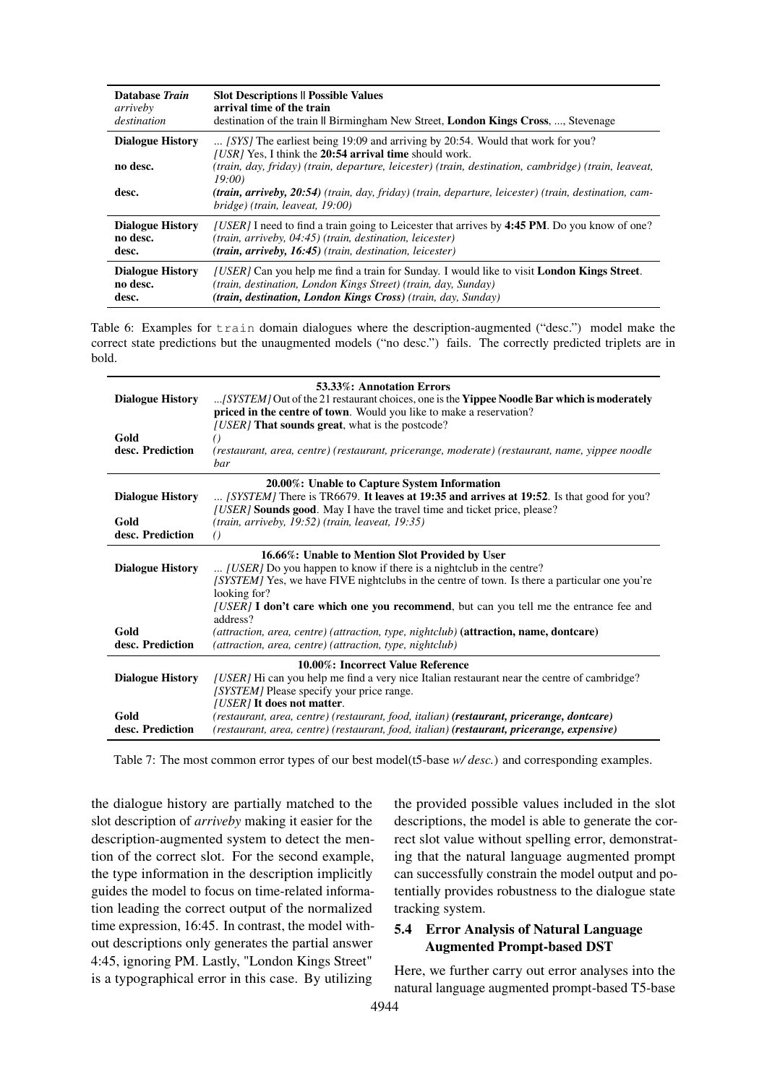<span id="page-7-0"></span>

| Database Train                               | <b>Slot Descriptions    Possible Values</b>                                                                                                                                                                                                                                                                                                                                                                 |
|----------------------------------------------|-------------------------------------------------------------------------------------------------------------------------------------------------------------------------------------------------------------------------------------------------------------------------------------------------------------------------------------------------------------------------------------------------------------|
| arriveby                                     | arrival time of the train                                                                                                                                                                                                                                                                                                                                                                                   |
| destination                                  | destination of the train II Birmingham New Street, <b>London Kings Cross</b> , , Stevenage                                                                                                                                                                                                                                                                                                                  |
| <b>Dialogue History</b><br>no desc.<br>desc. | [SYS] The earliest being 19:09 and arriving by 20:54. Would that work for you?<br>[USR] Yes, I think the 20:54 arrival time should work.<br>(train, day, friday) (train, departure, leicester) (train, destination, cambridge) (train, leaveat,<br>19:00<br><b>(train, arriveby, 20:54)</b> (train, day, friday) (train, departure, leicester) (train, destination, cam-<br>bridge) (train, leaveat, 19:00) |
| <b>Dialogue History</b>                      | [USER] I need to find a train going to Leicester that arrives by 4:45 PM. Do you know of one?                                                                                                                                                                                                                                                                                                               |
| no desc.                                     | $(train, arriveby, 04:45)$ (train, destination, leicester)                                                                                                                                                                                                                                                                                                                                                  |
| desc.                                        | $(train, arriveby, 16:45)$ (train, destination, leicester)                                                                                                                                                                                                                                                                                                                                                  |
| <b>Dialogue History</b>                      | <i>(USER)</i> Can you help me find a train for Sunday. I would like to visit <b>London Kings Street</b> .                                                                                                                                                                                                                                                                                                   |
| no desc.                                     | (train, destination, London Kings Street) (train, day, Sunday)                                                                                                                                                                                                                                                                                                                                              |
| desc.                                        | (train, destination, London Kings Cross) (train, day, Sunday)                                                                                                                                                                                                                                                                                                                                               |

Table 6: Examples for train domain dialogues where the description-augmented ("desc.") model make the correct state predictions but the unaugmented models ("no desc.") fails. The correctly predicted triplets are in bold.

<span id="page-7-1"></span>

| <b>Dialogue History</b>  | 53.33%: Annotation Errors<br>[SYSTEM] Out of the 21 restaurant choices, one is the Yippee Noodle Bar which is moderately<br>priced in the centre of town. Would you like to make a reservation?                                                                                                                                              |
|--------------------------|----------------------------------------------------------------------------------------------------------------------------------------------------------------------------------------------------------------------------------------------------------------------------------------------------------------------------------------------|
| Gold<br>desc. Prediction | <i>(USER)</i> That sounds great, what is the postcode?<br>(restaurant, area, centre) (restaurant, pricerange, moderate) (restaurant, name, vippee noodle<br><i>bar</i>                                                                                                                                                                       |
| <b>Dialogue History</b>  | 20.00%: Unable to Capture System Information<br>$[SISTEM]$ There is TR6679. It leaves at 19:35 and arrives at 19:52. Is that good for you?<br><i>[USER]</i> Sounds good. May I have the travel time and ticket price, please?                                                                                                                |
| Gold<br>desc. Prediction | $(train, arriveby, 19:52) (train, leaveat, 19:35)$<br>( )                                                                                                                                                                                                                                                                                    |
| <b>Dialogue History</b>  | 16.66%: Unable to Mention Slot Provided by User<br>[USER] Do you happen to know if there is a nightclub in the centre?<br>[SYSTEM] Yes, we have FIVE nightclubs in the centre of town. Is there a particular one you're<br>looking for?<br>[USER] I don't care which one you recommend, but can you tell me the entrance fee and<br>address? |
| Gold<br>desc. Prediction | (attraction, area, centre) (attraction, type, nightclub) ( <b>attraction, name, dontcare</b> )<br>(attraction, area, centre) (attraction, type, nightclub)                                                                                                                                                                                   |
| <b>Dialogue History</b>  | 10.00%: Incorrect Value Reference<br>[USER] Hi can you help me find a very nice Italian restaurant near the centre of cambridge?<br>[SYSTEM] Please specify your price range.<br>[USER] It does not matter.                                                                                                                                  |
| Gold<br>desc. Prediction | (restaurant, area, centre) (restaurant, food, italian) (restaurant, pricerange, dontcare)<br>(restaurant, area, centre) (restaurant, food, italian) (restaurant, pricerange, expensive)                                                                                                                                                      |

Table 7: The most common error types of our best model(t5-base *w/ desc.*) and corresponding examples.

the dialogue history are partially matched to the slot description of *arriveby* making it easier for the description-augmented system to detect the mention of the correct slot. For the second example, the type information in the description implicitly guides the model to focus on time-related information leading the correct output of the normalized time expression, 16:45. In contrast, the model without descriptions only generates the partial answer 4:45, ignoring PM. Lastly, "London Kings Street" is a typographical error in this case. By utilizing

the provided possible values included in the slot descriptions, the model is able to generate the correct slot value without spelling error, demonstrating that the natural language augmented prompt can successfully constrain the model output and potentially provides robustness to the dialogue state tracking system.

## **5.4 Error Analysis of Natural Language Augmented Prompt-based DST**

Here, we further carry out error analyses into the natural language augmented prompt-based T5-base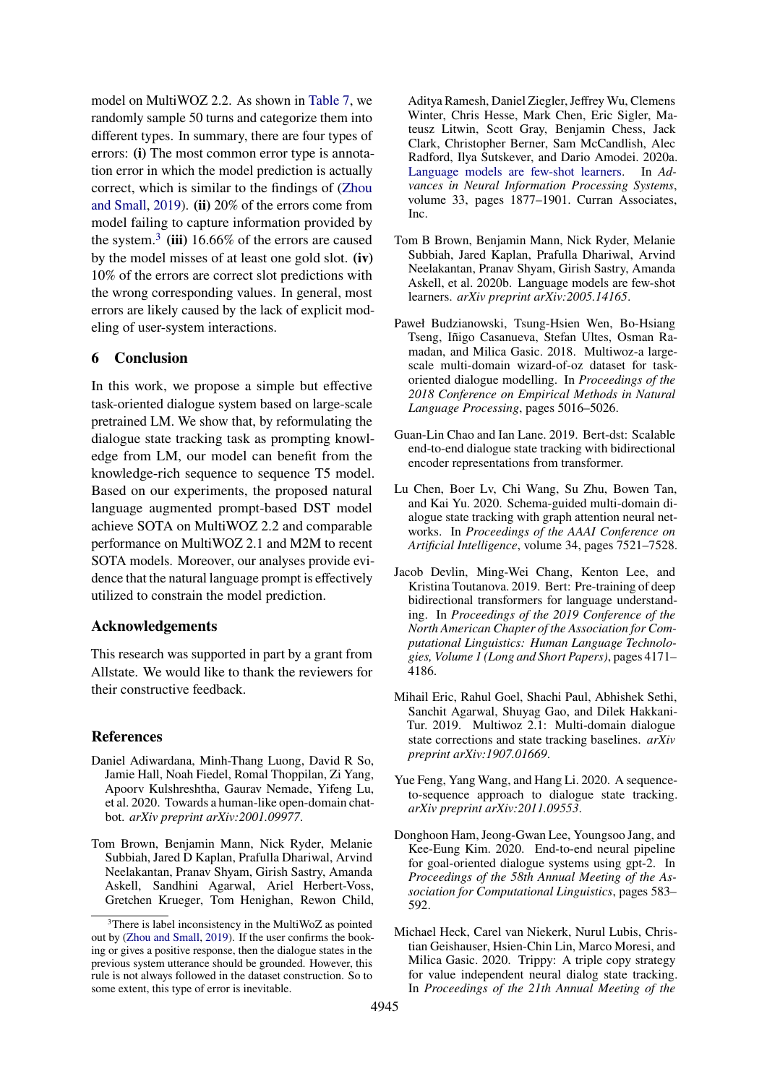model on MultiWOZ 2.2. As shown in [Table 7,](#page-7-1) we randomly sample 50 turns and categorize them into different types. In summary, there are four types of errors: **(i)** The most common error type is annotation error in which the model prediction is actually correct, which is similar to the findings of [\(Zhou](#page-10-9) [and Small,](#page-10-9) [2019\)](#page-10-9). **(ii)** 20% of the errors come from model failing to capture information provided by the system.<sup>[3](#page-8-11)</sup> (iii)  $16.66\%$  of the errors are caused by the model misses of at least one gold slot. **(iv)** 10% of the errors are correct slot predictions with the wrong corresponding values. In general, most errors are likely caused by the lack of explicit modeling of user-system interactions.

## **6 Conclusion**

In this work, we propose a simple but effective task-oriented dialogue system based on large-scale pretrained LM. We show that, by reformulating the dialogue state tracking task as prompting knowledge from LM, our model can benefit from the knowledge-rich sequence to sequence T5 model. Based on our experiments, the proposed natural language augmented prompt-based DST model achieve SOTA on MultiWOZ 2.2 and comparable performance on MultiWOZ 2.1 and M2M to recent SOTA models. Moreover, our analyses provide evidence that the natural language prompt is effectively utilized to constrain the model prediction.

#### **Acknowledgements**

This research was supported in part by a grant from Allstate. We would like to thank the reviewers for their constructive feedback.

#### **References**

- <span id="page-8-9"></span>Daniel Adiwardana, Minh-Thang Luong, David R So, Jamie Hall, Noah Fiedel, Romal Thoppilan, Zi Yang, Apoorv Kulshreshtha, Gaurav Nemade, Yifeng Lu, et al. 2020. Towards a human-like open-domain chatbot. *arXiv preprint arXiv:2001.09977*.
- <span id="page-8-3"></span>Tom Brown, Benjamin Mann, Nick Ryder, Melanie Subbiah, Jared D Kaplan, Prafulla Dhariwal, Arvind Neelakantan, Pranav Shyam, Girish Sastry, Amanda Askell, Sandhini Agarwal, Ariel Herbert-Voss, Gretchen Krueger, Tom Henighan, Rewon Child,

Aditya Ramesh, Daniel Ziegler, Jeffrey Wu, Clemens Winter, Chris Hesse, Mark Chen, Eric Sigler, Mateusz Litwin, Scott Gray, Benjamin Chess, Jack Clark, Christopher Berner, Sam McCandlish, Alec Radford, Ilya Sutskever, and Dario Amodei. 2020a. [Language models are few-shot learners.](https://proceedings.neurips.cc/paper/2020/file/1457c0d6bfcb4967418bfb8ac142f64a-Paper.pdf) In *Advances in Neural Information Processing Systems*, volume 33, pages 1877–1901. Curran Associates, Inc.

- <span id="page-8-8"></span>Tom B Brown, Benjamin Mann, Nick Ryder, Melanie Subbiah, Jared Kaplan, Prafulla Dhariwal, Arvind Neelakantan, Pranav Shyam, Girish Sastry, Amanda Askell, et al. 2020b. Language models are few-shot learners. *arXiv preprint arXiv:2005.14165*.
- <span id="page-8-0"></span>Paweł Budzianowski, Tsung-Hsien Wen, Bo-Hsiang Tseng, Iñigo Casanueva, Stefan Ultes, Osman Ramadan, and Milica Gasic. 2018. Multiwoz-a largescale multi-domain wizard-of-oz dataset for taskoriented dialogue modelling. In *Proceedings of the 2018 Conference on Empirical Methods in Natural Language Processing*, pages 5016–5026.
- <span id="page-8-4"></span>Guan-Lin Chao and Ian Lane. 2019. Bert-dst: Scalable end-to-end dialogue state tracking with bidirectional encoder representations from transformer.
- <span id="page-8-1"></span>Lu Chen, Boer Lv, Chi Wang, Su Zhu, Bowen Tan, and Kai Yu. 2020. Schema-guided multi-domain dialogue state tracking with graph attention neural networks. In *Proceedings of the AAAI Conference on Artificial Intelligence*, volume 34, pages 7521–7528.
- <span id="page-8-7"></span>Jacob Devlin, Ming-Wei Chang, Kenton Lee, and Kristina Toutanova. 2019. Bert: Pre-training of deep bidirectional transformers for language understanding. In *Proceedings of the 2019 Conference of the North American Chapter of the Association for Computational Linguistics: Human Language Technologies, Volume 1 (Long and Short Papers)*, pages 4171– 4186.
- <span id="page-8-5"></span>Mihail Eric, Rahul Goel, Shachi Paul, Abhishek Sethi, Sanchit Agarwal, Shuyag Gao, and Dilek Hakkani-Tur. 2019. Multiwoz 2.1: Multi-domain dialogue state corrections and state tracking baselines. *arXiv preprint arXiv:1907.01669*.
- <span id="page-8-10"></span>Yue Feng, Yang Wang, and Hang Li. 2020. A sequenceto-sequence approach to dialogue state tracking. *arXiv preprint arXiv:2011.09553*.
- <span id="page-8-6"></span>Donghoon Ham, Jeong-Gwan Lee, Youngsoo Jang, and Kee-Eung Kim. 2020. End-to-end neural pipeline for goal-oriented dialogue systems using gpt-2. In *Proceedings of the 58th Annual Meeting of the Association for Computational Linguistics*, pages 583– 592.
- <span id="page-8-2"></span>Michael Heck, Carel van Niekerk, Nurul Lubis, Christian Geishauser, Hsien-Chin Lin, Marco Moresi, and Milica Gasic. 2020. Trippy: A triple copy strategy for value independent neural dialog state tracking. In *Proceedings of the 21th Annual Meeting of the*

<span id="page-8-11"></span><sup>3</sup>There is label inconsistency in the MultiWoZ as pointed out by [\(Zhou and Small,](#page-10-9) [2019\)](#page-10-9). If the user confirms the booking or gives a positive response, then the dialogue states in the previous system utterance should be grounded. However, this rule is not always followed in the dataset construction. So to some extent, this type of error is inevitable.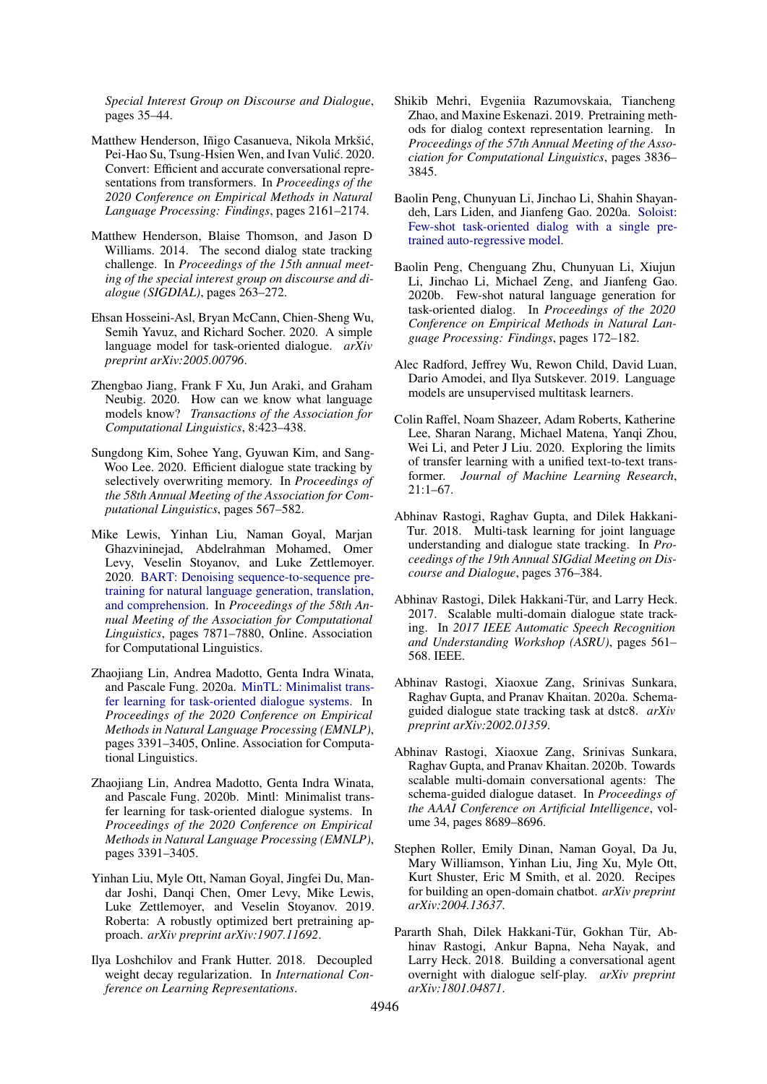*Special Interest Group on Discourse and Dialogue*, pages 35–44.

- <span id="page-9-12"></span>Matthew Henderson, Iñigo Casanueva, Nikola Mrkšić, Pei-Hao Su, Tsung-Hsien Wen, and Ivan Vulić. 2020. Convert: Efficient and accurate conversational representations from transformers. In *Proceedings of the 2020 Conference on Empirical Methods in Natural Language Processing: Findings*, pages 2161–2174.
- <span id="page-9-0"></span>Matthew Henderson, Blaise Thomson, and Jason D Williams. 2014. The second dialog state tracking challenge. In *Proceedings of the 15th annual meeting of the special interest group on discourse and dialogue (SIGDIAL)*, pages 263–272.
- <span id="page-9-4"></span>Ehsan Hosseini-Asl, Bryan McCann, Chien-Sheng Wu, Semih Yavuz, and Richard Socher. 2020. A simple language model for task-oriented dialogue. *arXiv preprint arXiv:2005.00796*.
- <span id="page-9-14"></span>Zhengbao Jiang, Frank F Xu, Jun Araki, and Graham Neubig. 2020. How can we know what language models know? *Transactions of the Association for Computational Linguistics*, 8:423–438.
- <span id="page-9-2"></span>Sungdong Kim, Sohee Yang, Gyuwan Kim, and Sang-Woo Lee. 2020. Efficient dialogue state tracking by selectively overwriting memory. In *Proceedings of the 58th Annual Meeting of the Association for Computational Linguistics*, pages 567–582.
- <span id="page-9-16"></span>Mike Lewis, Yinhan Liu, Naman Goyal, Marjan Ghazvininejad, Abdelrahman Mohamed, Omer Levy, Veselin Stoyanov, and Luke Zettlemoyer. 2020. [BART: Denoising sequence-to-sequence pre](https://doi.org/10.18653/v1/2020.acl-main.703)[training for natural language generation, translation,](https://doi.org/10.18653/v1/2020.acl-main.703) [and comprehension.](https://doi.org/10.18653/v1/2020.acl-main.703) In *Proceedings of the 58th Annual Meeting of the Association for Computational Linguistics*, pages 7871–7880, Online. Association for Computational Linguistics.
- <span id="page-9-5"></span>Zhaojiang Lin, Andrea Madotto, Genta Indra Winata, and Pascale Fung. 2020a. [MinTL: Minimalist trans](https://doi.org/10.18653/v1/2020.emnlp-main.273)[fer learning for task-oriented dialogue systems.](https://doi.org/10.18653/v1/2020.emnlp-main.273) In *Proceedings of the 2020 Conference on Empirical Methods in Natural Language Processing (EMNLP)*, pages 3391–3405, Online. Association for Computational Linguistics.
- <span id="page-9-15"></span>Zhaojiang Lin, Andrea Madotto, Genta Indra Winata, and Pascale Fung. 2020b. Mintl: Minimalist transfer learning for task-oriented dialogue systems. In *Proceedings of the 2020 Conference on Empirical Methods in Natural Language Processing (EMNLP)*, pages 3391–3405.
- <span id="page-9-8"></span>Yinhan Liu, Myle Ott, Naman Goyal, Jingfei Du, Mandar Joshi, Danqi Chen, Omer Levy, Mike Lewis, Luke Zettlemoyer, and Veselin Stoyanov. 2019. Roberta: A robustly optimized bert pretraining approach. *arXiv preprint arXiv:1907.11692*.
- <span id="page-9-20"></span>Ilya Loshchilov and Frank Hutter. 2018. Decoupled weight decay regularization. In *International Conference on Learning Representations*.
- <span id="page-9-11"></span>Shikib Mehri, Evgeniia Razumovskaia, Tiancheng Zhao, and Maxine Eskenazi. 2019. Pretraining methods for dialog context representation learning. In *Proceedings of the 57th Annual Meeting of the Association for Computational Linguistics*, pages 3836– 3845.
- <span id="page-9-3"></span>Baolin Peng, Chunyuan Li, Jinchao Li, Shahin Shayandeh, Lars Liden, and Jianfeng Gao. 2020a. [Soloist:](http://arxiv.org/abs/2005.05298) [Few-shot task-oriented dialog with a single pre](http://arxiv.org/abs/2005.05298)[trained auto-regressive model.](http://arxiv.org/abs/2005.05298)
- <span id="page-9-13"></span>Baolin Peng, Chenguang Zhu, Chunyuan Li, Xiujun Li, Jinchao Li, Michael Zeng, and Jianfeng Gao. 2020b. Few-shot natural language generation for task-oriented dialog. In *Proceedings of the 2020 Conference on Empirical Methods in Natural Language Processing: Findings*, pages 172–182.
- <span id="page-9-6"></span>Alec Radford, Jeffrey Wu, Rewon Child, David Luan, Dario Amodei, and Ilya Sutskever. 2019. Language models are unsupervised multitask learners.
- <span id="page-9-9"></span>Colin Raffel, Noam Shazeer, Adam Roberts, Katherine Lee, Sharan Narang, Michael Matena, Yanqi Zhou, Wei Li, and Peter J Liu. 2020. Exploring the limits of transfer learning with a unified text-to-text transformer. *Journal of Machine Learning Research*, 21:1–67.
- <span id="page-9-19"></span>Abhinav Rastogi, Raghav Gupta, and Dilek Hakkani-Tur. 2018. Multi-task learning for joint language understanding and dialogue state tracking. In *Proceedings of the 19th Annual SIGdial Meeting on Discourse and Dialogue*, pages 376–384.
- <span id="page-9-18"></span>Abhinav Rastogi, Dilek Hakkani-Tür, and Larry Heck. 2017. Scalable multi-domain dialogue state tracking. In *2017 IEEE Automatic Speech Recognition and Understanding Workshop (ASRU)*, pages 561– 568. IEEE.
- <span id="page-9-17"></span>Abhinav Rastogi, Xiaoxue Zang, Srinivas Sunkara, Raghav Gupta, and Pranav Khaitan. 2020a. Schemaguided dialogue state tracking task at dstc8. *arXiv preprint arXiv:2002.01359*.
- <span id="page-9-7"></span>Abhinav Rastogi, Xiaoxue Zang, Srinivas Sunkara, Raghav Gupta, and Pranav Khaitan. 2020b. Towards scalable multi-domain conversational agents: The schema-guided dialogue dataset. In *Proceedings of the AAAI Conference on Artificial Intelligence*, volume 34, pages 8689–8696.
- <span id="page-9-10"></span>Stephen Roller, Emily Dinan, Naman Goyal, Da Ju, Mary Williamson, Yinhan Liu, Jing Xu, Myle Ott, Kurt Shuster, Eric M Smith, et al. 2020. Recipes for building an open-domain chatbot. *arXiv preprint arXiv:2004.13637*.
- <span id="page-9-1"></span>Pararth Shah, Dilek Hakkani-Tür, Gokhan Tür, Abhinav Rastogi, Ankur Bapna, Neha Nayak, and Larry Heck. 2018. Building a conversational agent overnight with dialogue self-play. *arXiv preprint arXiv:1801.04871*.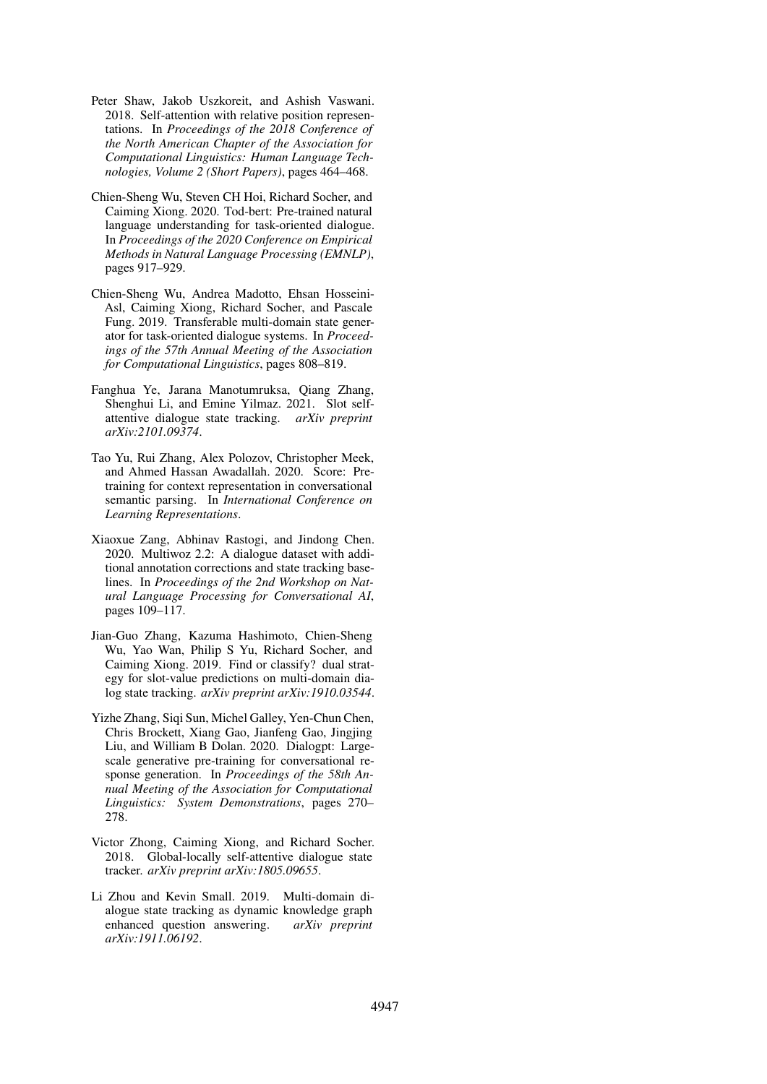- <span id="page-10-6"></span>Peter Shaw, Jakob Uszkoreit, and Ashish Vaswani. 2018. Self-attention with relative position representations. In *Proceedings of the 2018 Conference of the North American Chapter of the Association for Computational Linguistics: Human Language Technologies, Volume 2 (Short Papers)*, pages 464–468.
- <span id="page-10-5"></span>Chien-Sheng Wu, Steven CH Hoi, Richard Socher, and Caiming Xiong. 2020. Tod-bert: Pre-trained natural language understanding for task-oriented dialogue. In *Proceedings of the 2020 Conference on Empirical Methods in Natural Language Processing (EMNLP)*, pages 917–929.
- <span id="page-10-1"></span>Chien-Sheng Wu, Andrea Madotto, Ehsan Hosseini-Asl, Caiming Xiong, Richard Socher, and Pascale Fung. 2019. Transferable multi-domain state generator for task-oriented dialogue systems. In *Proceedings of the 57th Annual Meeting of the Association for Computational Linguistics*, pages 808–819.
- <span id="page-10-0"></span>Fanghua Ye, Jarana Manotumruksa, Qiang Zhang, Shenghui Li, and Emine Yilmaz. 2021. Slot selfattentive dialogue state tracking. *arXiv preprint arXiv:2101.09374*.
- <span id="page-10-8"></span>Tao Yu, Rui Zhang, Alex Polozov, Christopher Meek, and Ahmed Hassan Awadallah. 2020. Score: Pretraining for context representation in conversational semantic parsing. In *International Conference on Learning Representations*.
- <span id="page-10-3"></span>Xiaoxue Zang, Abhinav Rastogi, and Jindong Chen. 2020. Multiwoz 2.2: A dialogue dataset with additional annotation corrections and state tracking baselines. In *Proceedings of the 2nd Workshop on Natural Language Processing for Conversational AI*, pages 109–117.
- <span id="page-10-7"></span>Jian-Guo Zhang, Kazuma Hashimoto, Chien-Sheng Wu, Yao Wan, Philip S Yu, Richard Socher, and Caiming Xiong. 2019. Find or classify? dual strategy for slot-value predictions on multi-domain dialog state tracking. *arXiv preprint arXiv:1910.03544*.
- <span id="page-10-4"></span>Yizhe Zhang, Siqi Sun, Michel Galley, Yen-Chun Chen, Chris Brockett, Xiang Gao, Jianfeng Gao, Jingjing Liu, and William B Dolan. 2020. Dialogpt: Largescale generative pre-training for conversational response generation. In *Proceedings of the 58th Annual Meeting of the Association for Computational Linguistics: System Demonstrations*, pages 270– 278.
- <span id="page-10-2"></span>Victor Zhong, Caiming Xiong, and Richard Socher. 2018. Global-locally self-attentive dialogue state tracker. *arXiv preprint arXiv:1805.09655*.
- <span id="page-10-9"></span>Li Zhou and Kevin Small. 2019. Multi-domain dialogue state tracking as dynamic knowledge graph enhanced question answering. *arXiv preprint arXiv:1911.06192*.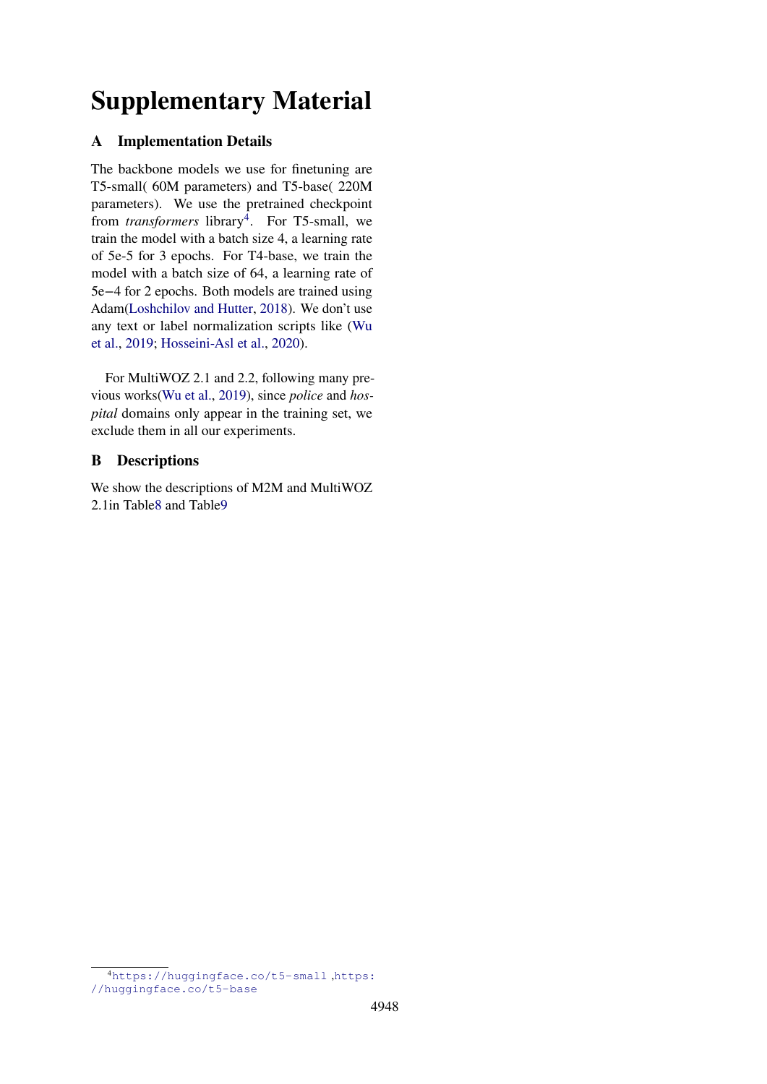# **Supplementary Material**

# **A Implementation Details**

The backbone models we use for finetuning are T5-small( 60M parameters) and T5-base( 220M parameters). We use the pretrained checkpoint from *transformers* library<sup>[4](#page-11-0)</sup>. For T5-small, we train the model with a batch size 4, a learning rate of 5e-5 for 3 epochs. For T4-base, we train the model with a batch size of 64, a learning rate of 5e−4 for 2 epochs. Both models are trained using Adam[\(Loshchilov and Hutter,](#page-9-20) [2018\)](#page-9-20). We don't use any text or label normalization scripts like [\(Wu](#page-10-1) [et al.,](#page-10-1) [2019;](#page-10-1) [Hosseini-Asl et al.,](#page-9-4) [2020\)](#page-9-4).

For MultiWOZ 2.1 and 2.2, following many previous works[\(Wu et al.,](#page-10-1) [2019\)](#page-10-1), since *police* and *hospital* domains only appear in the training set, we exclude them in all our experiments.

# **B Descriptions**

We show the descriptions of M2M and MultiWOZ 2.1in Tabl[e8](#page-12-0) and Tabl[e9](#page-12-1)

<span id="page-11-0"></span><sup>4</sup><https://huggingface.co/t5-small> ,[https:](https://huggingface.co/t5-base) [//huggingface.co/t5-base](https://huggingface.co/t5-base)